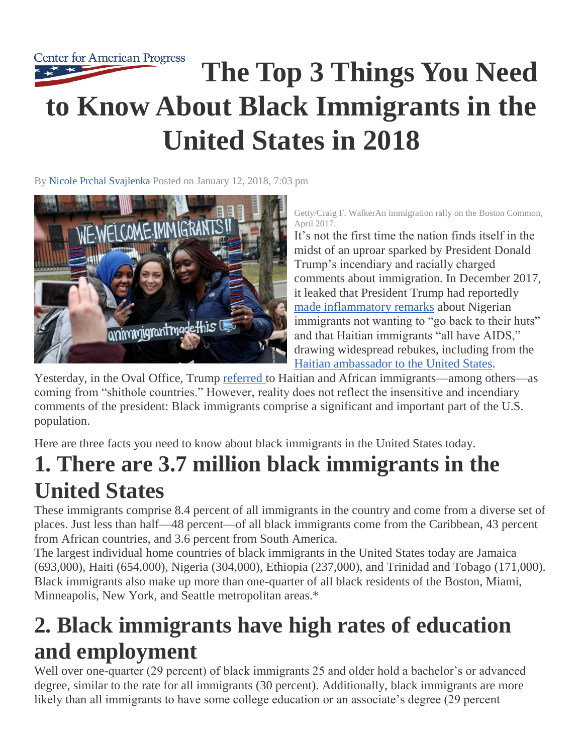

By [Nicole Prchal Svajlenka](https://www.americanprogress.org/about/staff/svajlenka-nicole/bio/) Posted on January 12, 2018, 7:03 pm



Getty/Craig F. WalkerAn immigration rally on the Boston Common, April 2017.

It's not the first time the nation finds itself in the midst of an uproar sparked by President Donald Trump's incendiary and racially charged comments about immigration. In December 2017, it leaked that President Trump had reportedly [made inflammatory remarks](http://www.newsweek.com/trump-haitians-aids-nigerians-live-huts-oval-office-new-york-times-report-758000) about Nigerian immigrants not wanting to "go back to their huts" and that Haitian immigrants "all have AIDS," drawing widespread rebukes, including from the [Haitian ambassador to the United States.](https://www.nytimes.com/2017/12/30/opinion/our-country-deserves-your-respect-not-your-pity.html)

Yesterday, in the Oval Office, Trump [referred t](https://www.washingtonpost.com/politics/trump-attacks-protections-for-immigrants-from-shithole-countries-in-oval-office-meeting/2018/01/11/bfc0725c-f711-11e7-91af-31ac729add94_story.html?utm_term=.3107a0b3adce)o Haitian and African immigrants—among others—as coming from "shithole countries." However, reality does not reflect the insensitive and incendiary comments of the president: Black immigrants comprise a significant and important part of the U.S. population.

Here are three facts you need to know about black immigrants in the United States today.

## **1. There are 3.7 million black immigrants in the United States**

These immigrants comprise 8.4 percent of all immigrants in the country and come from a diverse set of places. Just less than half—48 percent—of all black immigrants come from the Caribbean, 43 percent from African countries, and 3.6 percent from South America.

The largest individual home countries of black immigrants in the United States today are Jamaica (693,000), Haiti (654,000), Nigeria (304,000), Ethiopia (237,000), and Trinidad and Tobago (171,000). Black immigrants also make up more than one-quarter of all black residents of the Boston, Miami, Minneapolis, New York, and Seattle metropolitan areas.\*

## **2. Black immigrants have high rates of education and employment**

Well over one-quarter (29 percent) of black immigrants 25 and older hold a bachelor's or advanced degree, similar to the rate for all immigrants (30 percent). Additionally, black immigrants are more likely than all immigrants to have some college education or an associate's degree (29 percent